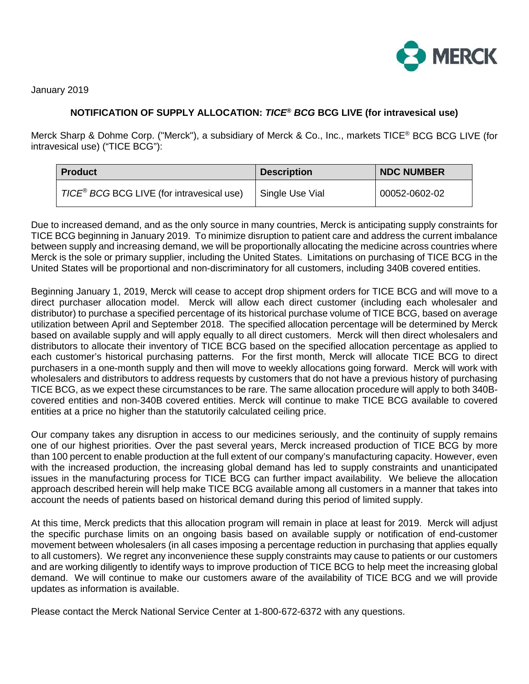

January 2019

## **NOTIFICATION OF SUPPLY ALLOCATION:** *TICE® BCG* **BCG LIVE (for intravesical use)**

Merck Sharp & Dohme Corp. ("Merck"), a subsidiary of Merck & Co., Inc., markets TICE® BCG BCG LIVE (for intravesical use) ("TICE BCG"):

| <b>Product</b>                                        | <b>Description</b> | <b>NDC NUMBER</b> |
|-------------------------------------------------------|--------------------|-------------------|
| TICE <sup>®</sup> BCG BCG LIVE (for intravesical use) | Single Use Vial    | 00052-0602-02     |

Due to increased demand, and as the only source in many countries, Merck is anticipating supply constraints for TICE BCG beginning in January 2019. To minimize disruption to patient care and address the current imbalance between supply and increasing demand, we will be proportionally allocating the medicine across countries where Merck is the sole or primary supplier, including the United States. Limitations on purchasing of TICE BCG in the United States will be proportional and non-discriminatory for all customers, including 340B covered entities.

Beginning January 1, 2019, Merck will cease to accept drop shipment orders for TICE BCG and will move to a direct purchaser allocation model. Merck will allow each direct customer (including each wholesaler and distributor) to purchase a specified percentage of its historical purchase volume of TICE BCG, based on average utilization between April and September 2018. The specified allocation percentage will be determined by Merck based on available supply and will apply equally to all direct customers. Merck will then direct wholesalers and distributors to allocate their inventory of TICE BCG based on the specified allocation percentage as applied to each customer's historical purchasing patterns. For the first month, Merck will allocate TICE BCG to direct purchasers in a one-month supply and then will move to weekly allocations going forward. Merck will work with wholesalers and distributors to address requests by customers that do not have a previous history of purchasing TICE BCG, as we expect these circumstances to be rare. The same allocation procedure will apply to both 340Bcovered entities and non-340B covered entities. Merck will continue to make TICE BCG available to covered entities at a price no higher than the statutorily calculated ceiling price.

Our company takes any disruption in access to our medicines seriously, and the continuity of supply remains one of our highest priorities. Over the past several years, Merck increased production of TICE BCG by more than 100 percent to enable production at the full extent of our company's manufacturing capacity. However, even with the increased production, the increasing global demand has led to supply constraints and unanticipated issues in the manufacturing process for TICE BCG can further impact availability. We believe the allocation approach described herein will help make TICE BCG available among all customers in a manner that takes into account the needs of patients based on historical demand during this period of limited supply.

At this time, Merck predicts that this allocation program will remain in place at least for 2019. Merck will adjust the specific purchase limits on an ongoing basis based on available supply or notification of end-customer movement between wholesalers (in all cases imposing a percentage reduction in purchasing that applies equally to all customers). We regret any inconvenience these supply constraints may cause to patients or our customers and are working diligently to identify ways to improve production of TICE BCG to help meet the increasing global demand. We will continue to make our customers aware of the availability of TICE BCG and we will provide updates as information is available.

Please contact the Merck National Service Center at 1-800-672-6372 with any questions.